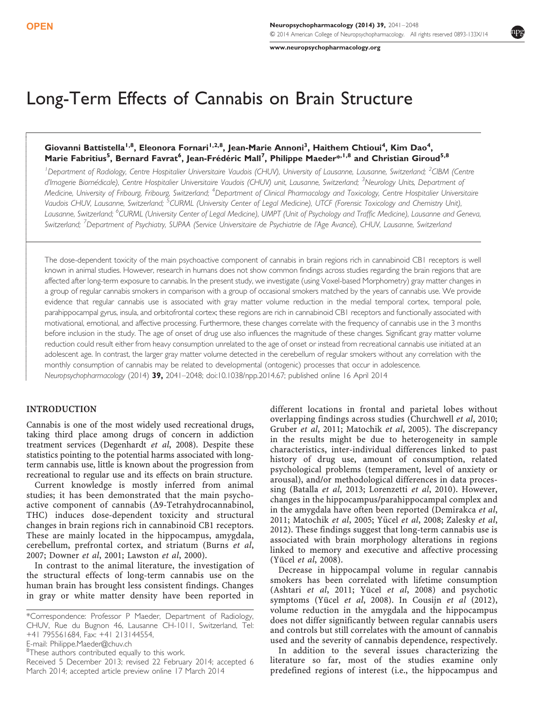--

- $\mathsf{r}$  [www.neuropsychopharmacology.org](http://www.neuropsychopharmacology.org)

# Long-Term Effects of Cannabis on Brain Structure

# Giovanni Battistella<sup>1,8</sup>, Eleonora Fornari<sup>1,2,8</sup>, Jean-Marie Annoni<sup>3</sup>, Haithem Chtioui<sup>4</sup>, Kim Dao<sup>4</sup>, Marie Fabritius<sup>5</sup>, Bernard Favrat<sup>6</sup>, Jean-Frédéric Mall<sup>7</sup>, Philippe Maeder<sup>\*, I,8</sup> and Christian Giroud<sup>5,8</sup>

<sup>1</sup>Department of Radiology, Centre Hospitalier Universitaire Vaudois (CHUV), University of Lausanne, Lausanne, Switzerland; <sup>2</sup>CIBM (Centre d'Imagerie Biomédicale), Centre Hospitalier Universitaire Vaudois (CHUV) unit, Lausanne, Switzerland; <sup>3</sup>Neurology Units, Department of Medicine, University of Fribourg, Fribourg, Switzerland; <sup>4</sup>Department of Clinical Pharmacology and Toxicology, Centre Hospitalier Universitaire Vaudois CHUV, Lausanne, Switzerland; <sup>5</sup>CURML (University Center of Legal Medicine), UTCF (Forensic Toxicology and Chemistry Unit), Lausanne, Switzerland; <sup>6</sup>CURML (University Center of Legal Medicine), UMPT (Unit of Psychology and Traffic Medicine), Lausanne and Geneva, Switzerland; <sup>7</sup>Department of Psychiatry, SUPAA (Service Universitaire de Psychiatrie de l'Age Avancé), CHUV, Lausanne, Switzerland

The dose-dependent toxicity of the main psychoactive component of cannabis in brain regions rich in cannabinoid CB1 receptors is well known in animal studies. However, research in humans does not show common findings across studies regarding the brain regions that are affected after long-term exposure to cannabis. In the present study, we investigate (using Voxel-based Morphometry) gray matter changes in a group of regular cannabis smokers in comparison with a group of occasional smokers matched by the years of cannabis use. We provide evidence that regular cannabis use is associated with gray matter volume reduction in the medial temporal cortex, temporal pole, parahippocampal gyrus, insula, and orbitofrontal cortex; these regions are rich in cannabinoid CB1 receptors and functionally associated with motivational, emotional, and affective processing. Furthermore, these changes correlate with the frequency of cannabis use in the 3 months before inclusion in the study. The age of onset of drug use also influences the magnitude of these changes. Significant gray matter volume reduction could result either from heavy consumption unrelated to the age of onset or instead from recreational cannabis use initiated at an adolescent age. In contrast, the larger gray matter volume detected in the cerebellum of regular smokers without any correlation with the monthly consumption of cannabis may be related to developmental (ontogenic) processes that occur in adolescence. Neuropsychopharmacology (2014) 39, 2041–2048; doi[:10.1038/npp.2014.67](http://dx.doi.org/10.1038/npp.2014.67); published online 16 April 2014

## INTRODUCTION

Cannabis is one of the most widely used recreational drugs, taking third place among drugs of concern in addiction treatment services ([Degenhardt](#page-6-0) et al, 2008). Despite these statistics pointing to the potential harms associated with longterm cannabis use, little is known about the progression from recreational to regular use and its effects on brain structure.

Current knowledge is mostly inferred from animal studies; it has been demonstrated that the main psychoactive component of cannabis ( $\Delta$ 9-Tetrahydrocannabinol, THC) induces dose-dependent toxicity and structural changes in brain regions rich in cannabinoid CB1 receptors. These are mainly located in the hippocampus, amygdala, cerebellum, prefrontal cortex, and striatum ([Burns](#page-6-0) et al, [2007; Downer](#page-6-0) et al, 2001; [Lawston](#page-7-0) et al, 2000).

In contrast to the animal literature, the investigation of the structural effects of long-term cannabis use on the human brain has brought less consistent findings. Changes in gray or white matter density have been reported in

different locations in frontal and parietal lobes without overlapping findings across studies ([Churchwell](#page-6-0) et al, 2010; [Gruber](#page-7-0) et al, 2011; [Matochik](#page-7-0) et al, 2005). The discrepancy in the results might be due to heterogeneity in sample characteristics, inter-individual differences linked to past history of drug use, amount of consumption, related psychological problems (temperament, level of anxiety or arousal), and/or methodological differences in data processing ([Batalla](#page-6-0) et al, 2013; [Lorenzetti](#page-7-0) et al, 2010). However, changes in the hippocampus/parahippocampal complex and in the amygdala have often been reported ([Demirakca](#page-6-0) et al, [2011;](#page-6-0) [Matochik](#page-7-0) et al, 2005; Yücel et al[, 2008](#page-7-0); [Zalesky](#page-7-0) et al, [2012\)](#page-7-0). These findings suggest that long-term cannabis use is associated with brain morphology alterations in regions linked to memory and executive and affective processing (Yücel et al[, 2008](#page-7-0)).

Decrease in hippocampal volume in regular cannabis smokers has been correlated with lifetime consumption [\(Ashtari](#page-6-0) et al, 2011; Yücel et al[, 2008\)](#page-7-0) and psychotic symptoms (Yücel et al[, 2008\)](#page-7-0). In [Cousijn](#page-6-0) et al  $(2012)$ , volume reduction in the amygdala and the hippocampus does not differ significantly between regular cannabis users and controls but still correlates with the amount of cannabis used and the severity of cannabis dependence, respectively.

In addition to the several issues characterizing the literature so far, most of the studies examine only predefined regions of interest (i.e., the hippocampus and

<sup>\*</sup>Correspondence: Professor P Maeder, Department of Radiology, CHUV, Rue du Bugnon 46, Lausanne CH-1011, Switzerland, Tel: +41 795561684, Fax: +41 213144554,

E-mail: [Philippe.Maeder@chuv.ch](mailto:Philippe.Maeder@chuv.ch)

<sup>&</sup>lt;sup>8</sup>These authors contributed equally to this work.

Received 5 December 2013; revised 22 February 2014; accepted 6 March 2014; accepted article preview online 17 March 2014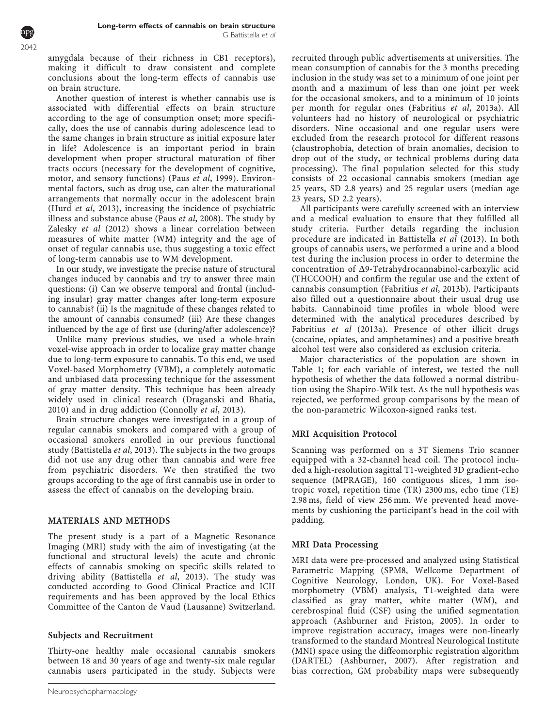amygdala because of their richness in CB1 receptors), making it difficult to draw consistent and complete conclusions about the long-term effects of cannabis use on brain structure.

Another question of interest is whether cannabis use is associated with differential effects on brain structure according to the age of consumption onset; more specifically, does the use of cannabis during adolescence lead to the same changes in brain structure as initial exposure later in life? Adolescence is an important period in brain development when proper structural maturation of fiber tracts occurs (necessary for the development of cognitive, motor, and sensory functions) (Paus et al[, 1999](#page-7-0)). Environmental factors, such as drug use, can alter the maturational arrangements that normally occur in the adolescent brain (Hurd et al[, 2013](#page-7-0)), increasing the incidence of psychiatric illness and substance abuse (Paus et al[, 2008](#page-7-0)). The study by [Zalesky](#page-7-0) et al (2012) shows a linear correlation between measures of white matter (WM) integrity and the age of onset of regular cannabis use, thus suggesting a toxic effect of long-term cannabis use to WM development.

In our study, we investigate the precise nature of structural changes induced by cannabis and try to answer three main questions: (i) Can we observe temporal and frontal (including insular) gray matter changes after long-term exposure to cannabis? (ii) Is the magnitude of these changes related to the amount of cannabis consumed? (iii) Are these changes influenced by the age of first use (during/after adolescence)?

Unlike many previous studies, we used a whole-brain voxel-wise approach in order to localize gray matter change due to long-term exposure to cannabis. To this end, we used Voxel-based Morphometry (VBM), a completely automatic and unbiased data processing technique for the assessment of gray matter density. This technique has been already widely used in clinical research ([Draganski and Bhatia,](#page-6-0) [2010](#page-6-0)) and in drug addiction ([Connolly](#page-6-0) et al, 2013).

Brain structure changes were investigated in a group of regular cannabis smokers and compared with a group of occasional smokers enrolled in our previous functional study [\(Battistella](#page-6-0) et al, 2013). The subjects in the two groups did not use any drug other than cannabis and were free from psychiatric disorders. We then stratified the two groups according to the age of first cannabis use in order to assess the effect of cannabis on the developing brain.

# MATERIALS AND METHODS

The present study is a part of a Magnetic Resonance Imaging (MRI) study with the aim of investigating (at the functional and structural levels) the acute and chronic effects of cannabis smoking on specific skills related to driving ability ([Battistella](#page-6-0) et al, 2013). The study was conducted according to Good Clinical Practice and ICH requirements and has been approved by the local Ethics Committee of the Canton de Vaud (Lausanne) Switzerland.

# Subjects and Recruitment

Thirty-one healthy male occasional cannabis smokers between 18 and 30 years of age and twenty-six male regular cannabis users participated in the study. Subjects were recruited through public advertisements at universities. The mean consumption of cannabis for the 3 months preceding inclusion in the study was set to a minimum of one joint per month and a maximum of less than one joint per week for the occasional smokers, and to a minimum of 10 joints per month for regular ones [\(Fabritius](#page-6-0) et al, 2013a). All volunteers had no history of neurological or psychiatric disorders. Nine occasional and one regular users were excluded from the research protocol for different reasons (claustrophobia, detection of brain anomalies, decision to drop out of the study, or technical problems during data processing). The final population selected for this study consists of 22 occasional cannabis smokers (median age 25 years, SD 2.8 years) and 25 regular users (median age 23 years, SD 2.2 years).

All participants were carefully screened with an interview and a medical evaluation to ensure that they fulfilled all study criteria. Further details regarding the inclusion procedure are indicated in [Battistella](#page-6-0) et al (2013). In both groups of cannabis users, we performed a urine and a blood test during the inclusion process in order to determine the concentration of D9-Tetrahydrocannabinol-carboxylic acid (THCCOOH) and confirm the regular use and the extent of cannabis consumption [\(Fabritius](#page-7-0) et al, 2013b). Participants also filled out a questionnaire about their usual drug use habits. Cannabinoid time profiles in whole blood were determined with the analytical procedures described by [Fabritius](#page-6-0) et al (2013a). Presence of other illicit drugs (cocaine, opiates, and amphetamines) and a positive breath alcohol test were also considered as exclusion criteria.

Major characteristics of the population are shown in [Table 1;](#page-2-0) for each variable of interest, we tested the null hypothesis of whether the data followed a normal distribution using the Shapiro-Wilk test. As the null hypothesis was rejected, we performed group comparisons by the mean of the non-parametric Wilcoxon-signed ranks test.

# MRI Acquisition Protocol

Scanning was performed on a 3T Siemens Trio scanner equipped with a 32-channel head coil. The protocol included a high-resolution sagittal T1-weighted 3D gradient-echo sequence (MPRAGE), 160 contiguous slices, 1 mm isotropic voxel, repetition time (TR) 2300 ms, echo time (TE) 2.98 ms, field of view 256 mm. We prevented head movements by cushioning the participant's head in the coil with padding.

## MRI Data Processing

MRI data were pre-processed and analyzed using Statistical Parametric Mapping (SPM8, Wellcome Department of Cognitive Neurology, London, UK). For Voxel-Based morphometry (VBM) analysis, T1-weighted data were classified as gray matter, white matter (WM), and cerebrospinal fluid (CSF) using the unified segmentation approach ([Ashburner and Friston, 2005\)](#page-6-0). In order to improve registration accuracy, images were non-linearly transformed to the standard Montreal Neurological Institute (MNI) space using the diffeomorphic registration algorithm (DARTEL) [\(Ashburner, 2007\)](#page-6-0). After registration and bias correction, GM probability maps were subsequently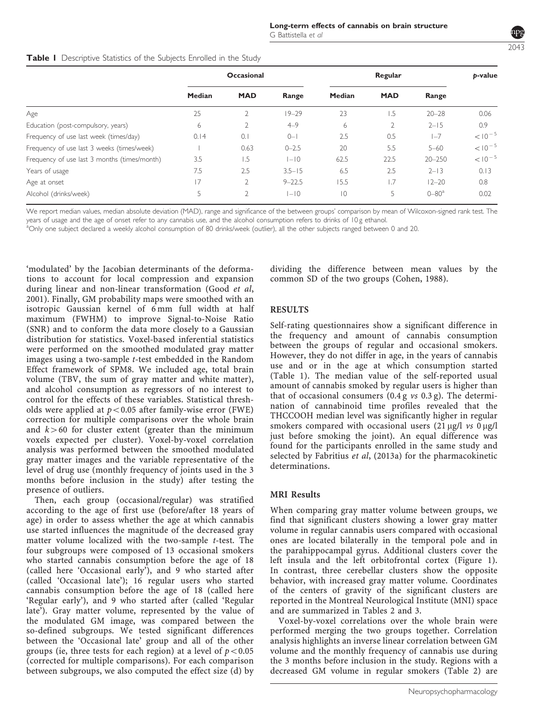<span id="page-2-0"></span>

| Table I Descriptive Statistics of the Subjects Enrolled in the Study |  |  |  |
|----------------------------------------------------------------------|--|--|--|
|                                                                      |  |  |  |

|                                              | <b>Occasional</b> |                |            | Regular        |            |                  | b-value     |
|----------------------------------------------|-------------------|----------------|------------|----------------|------------|------------------|-------------|
|                                              | Median            | <b>MAD</b>     | Range      | Median         | <b>MAD</b> | Range            |             |
| Age                                          | 25                |                | $19 - 29$  | 23             | 1.5        | $20 - 28$        | 0.06        |
| Education (post-compulsory, years)           | 6                 |                | $4 - 9$    | 6              |            | $2 - 15$         | 0.9         |
| Frequency of use last week (times/day)       | 0.14              | 0.1            | $0 - 1$    | 2.5            | 0.5        | $1 - 7$          | $< 10^{-5}$ |
| Frequency of use last 3 weeks (times/week)   |                   | 0.63           | $0 - 2.5$  | 20             | 5.5        | $5 - 60$         | $< 10^{-5}$ |
| Frequency of use last 3 months (times/month) | 3.5               | 1.5            | $ - 0 $    | 62.5           | 22.5       | $20 - 250$       | $< 10^{-5}$ |
| Years of usage                               | 7.5               | 2.5            | $3.5 - 15$ | 6.5            | 2.5        | $2 - 13$         | 0.13        |
| Age at onset                                 | 17                |                | $9 - 22.5$ | 15.5           | 1.7        | $12 - 20$        | 0.8         |
| Alcohol (drinks/week)                        | 5                 | $\overline{2}$ | $ - 0 $    | $\overline{0}$ | 5          | $0 - 80^{\circ}$ | 0.02        |

We report median values, median absolute deviation (MAD), range and significance of the between groups' comparison by mean of Wilcoxon-signed rank test. The years of usage and the age of onset refer to any cannabis use, and the alcohol consumption refers to drinks of 10 g ethanol.

<sup>a</sup>Only one subject declared a weekly alcohol consumption of 80 drinks/week (outlier), all the other subjects ranged between 0 and 20.

'modulated' by the Jacobian determinants of the deformations to account for local compression and expansion during linear and non-linear transformation ([Good](#page-7-0) et al, [2001\)](#page-7-0). Finally, GM probability maps were smoothed with an isotropic Gaussian kernel of 6 mm full width at half maximum (FWHM) to improve Signal-to-Noise Ratio (SNR) and to conform the data more closely to a Gaussian distribution for statistics. Voxel-based inferential statistics were performed on the smoothed modulated gray matter images using a two-sample t-test embedded in the Random Effect framework of SPM8. We included age, total brain volume (TBV, the sum of gray matter and white matter), and alcohol consumption as regressors of no interest to control for the effects of these variables. Statistical thresholds were applied at  $p < 0.05$  after family-wise error (FWE) correction for multiple comparisons over the whole brain and  $k > 60$  for cluster extent (greater than the minimum voxels expected per cluster). Voxel-by-voxel correlation analysis was performed between the smoothed modulated gray matter images and the variable representative of the level of drug use (monthly frequency of joints used in the 3 months before inclusion in the study) after testing the presence of outliers.

Then, each group (occasional/regular) was stratified according to the age of first use (before/after 18 years of age) in order to assess whether the age at which cannabis use started influences the magnitude of the decreased gray matter volume localized with the two-sample t-test. The four subgroups were composed of 13 occasional smokers who started cannabis consumption before the age of 18 (called here 'Occasional early'), and 9 who started after (called 'Occasional late'); 16 regular users who started cannabis consumption before the age of 18 (called here 'Regular early'), and 9 who started after (called 'Regular late'). Gray matter volume, represented by the value of the modulated GM image, was compared between the so-defined subgroups. We tested significant differences between the 'Occasional late' group and all of the other groups (ie, three tests for each region) at a level of  $p < 0.05$ (corrected for multiple comparisons). For each comparison between subgroups, we also computed the effect size (d) by dividing the difference between mean values by the common SD of the two groups (Cohen, 1988).

### RESULTS

Self-rating questionnaires show a significant difference in the frequency and amount of cannabis consumption between the groups of regular and occasional smokers. However, they do not differ in age, in the years of cannabis use and or in the age at which consumption started (Table 1). The median value of the self-reported usual amount of cannabis smoked by regular users is higher than that of occasional consumers  $(0.4 g vs 0.3 g)$ . The determination of cannabinoid time profiles revealed that the THCCOOH median level was significantly higher in regular smokers compared with occasional users  $(21 \mu g/l \text{ vs } 0 \mu g/l)$ just before smoking the joint). An equal difference was found for the participants enrolled in the same study and selected by Fabritius et al[, \(2013a\)](#page-6-0) for the pharmacokinetic determinations.

#### MRI Results

When comparing gray matter volume between groups, we find that significant clusters showing a lower gray matter volume in regular cannabis users compared with occasional ones are located bilaterally in the temporal pole and in the parahippocampal gyrus. Additional clusters cover the left insula and the left orbitofrontal cortex ([Figure 1\)](#page-3-0). In contrast, three cerebellar clusters show the opposite behavior, with increased gray matter volume. Coordinates of the centers of gravity of the significant clusters are reported in the Montreal Neurological Institute (MNI) space and are summarized in [Tables 2 and 3.](#page-3-0)

Voxel-by-voxel correlations over the whole brain were performed merging the two groups together. Correlation analysis highlights an inverse linear correlation between GM volume and the monthly frequency of cannabis use during the 3 months before inclusion in the study. Regions with a decreased GM volume in regular smokers [\(Table 2](#page-3-0)) are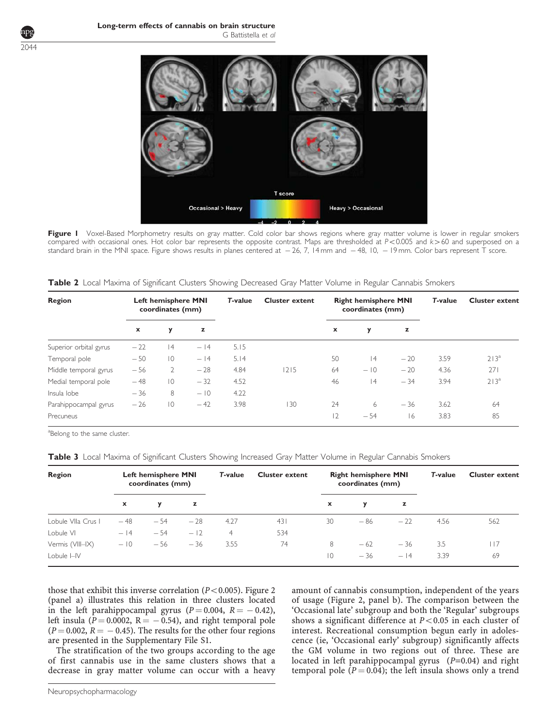<span id="page-3-0"></span>

Figure I Voxel-Based Morphometry results on gray matter. Cold color bar shows regions where gray matter volume is lower in regular smokers compared with occasional ones. Hot color bar represents the opposite contrast. Maps are thresholded at P<0.005 and k>60 and superposed on a standard brain in the MNI space. Figure shows results in planes centered at — 26, 7, 14 mm and — 48, 10, — 19 mm. Color bars represent T score.

| Region                 |       | <b>Left hemisphere MNI</b><br>coordinates (mm) |       | <b>T-value</b> | <b>Cluster extent</b> |    | <b>Right hemisphere MNI</b><br>coordinates (mm) |       | T-value | <b>Cluster extent</b> |
|------------------------|-------|------------------------------------------------|-------|----------------|-----------------------|----|-------------------------------------------------|-------|---------|-----------------------|
|                        | x     | y                                              | z     |                |                       | x  | y                                               | z     |         |                       |
| Superior orbital gyrus | $-22$ | 4                                              | $-14$ | 5.15           |                       |    |                                                 |       |         |                       |
| Temporal pole          | $-50$ | $\overline{0}$                                 | $-14$ | 5.14           |                       | 50 | 4                                               | $-20$ | 3.59    | $213^a$               |
| Middle temporal gyrus  | $-56$ | $\overline{2}$                                 | $-28$ | 4.84           | 1215                  | 64 | $-10$                                           | $-20$ | 4.36    | 271                   |
| Medial temporal pole   | $-48$ | $\overline{0}$                                 | $-32$ | 4.52           |                       | 46 | 4                                               | $-34$ | 3.94    | 213 <sup>a</sup>      |
| Insula lobe            | $-36$ | 8                                              | $-10$ | 4.22           |                       |    |                                                 |       |         |                       |
| Parahippocampal gyrus  | $-26$ | $\overline{0}$                                 | $-42$ | 3.98           | 130                   | 24 | 6                                               | $-36$ | 3.62    | 64                    |
| Precuneus              |       |                                                |       |                |                       | 2  | $-54$                                           | 16    | 3.83    | 85                    |

| Table 2 Local Maxima of Significant Clusters Showing Decreased Gray Matter Volume in Regular Cannabis Smokers |  |  |
|---------------------------------------------------------------------------------------------------------------|--|--|
|                                                                                                               |  |  |

<sup>a</sup>Belong to the same cluster.

| Region             | Left hemisphere MNI<br>coordinates (mm) |       |       | T-value | <b>Cluster extent</b> | <b>Right hemisphere MNI</b><br>coordinates (mm) |       |       | T-value | <b>Cluster extent</b> |
|--------------------|-----------------------------------------|-------|-------|---------|-----------------------|-------------------------------------------------|-------|-------|---------|-----------------------|
|                    | x                                       | у     | z     |         |                       | x                                               | У     | z     |         |                       |
| Lobule VIIa Crus I | $-48$                                   | $-54$ | $-28$ | 4.27    | 431                   | 30                                              | $-86$ | $-22$ | 4.56    | 562                   |
| Lobule VI          | $-14$                                   | $-54$ | $-12$ | 4       | 534                   |                                                 |       |       |         |                       |
| Vermis (VIII-IX)   | $-10$                                   | $-56$ | $-36$ | 3.55    | 74                    | 8                                               | $-62$ | $-36$ | 3.5     | 17                    |
| Lobule I-IV        |                                         |       |       |         |                       | $\overline{0}$                                  | $-36$ | $-14$ | 3.39    | 69                    |

|  |  | Table 3 Local Maxima of Significant Clusters Showing Increased Gray Matter Volume in Regular Cannabis Smokers |  |  |  |  |
|--|--|---------------------------------------------------------------------------------------------------------------|--|--|--|--|
|--|--|---------------------------------------------------------------------------------------------------------------|--|--|--|--|

those that exhibit this inverse correlation ( $P < 0.005$ ). [Figure 2](#page-4-0) (panel a) illustrates this relation in three clusters located in the left parahippocampal gyrus ( $P = 0.004$ ,  $R = -0.42$ ), left insula ( $P = 0.0002$ ,  $R = -0.54$ ), and right temporal pole  $(P = 0.002, R = -0.45)$ . The results for the other four regions are presented in the Supplementary File S1.

The stratification of the two groups according to the age of first cannabis use in the same clusters shows that a decrease in gray matter volume can occur with a heavy

amount of cannabis consumption, independent of the years of usage ([Figure 2,](#page-4-0) panel b). The comparison between the 'Occasional late' subgroup and both the 'Regular' subgroups shows a significant difference at  $P < 0.05$  in each cluster of interest. Recreational consumption begun early in adolescence (ie, 'Occasional early' subgroup) significantly affects the GM volume in two regions out of three. These are located in left parahippocampal gyrus (P=0.04) and right temporal pole ( $P = 0.04$ ); the left insula shows only a trend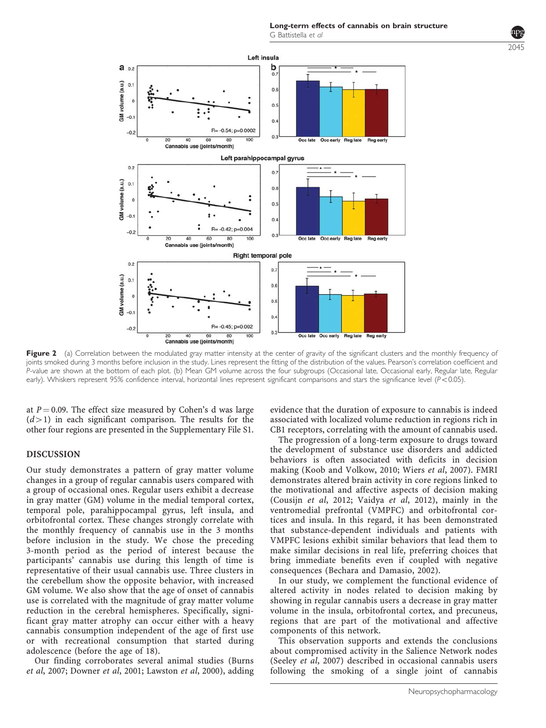<span id="page-4-0"></span>

Figure 2 (a) Correlation between the modulated gray matter intensity at the center of gravity of the significant clusters and the monthly frequency of joints smoked during 3 months before inclusion in the study. Lines represent the fitting of the distribution of the values. Pearson's correlation coefficient and P-value are shown at the bottom of each plot. (b) Mean GM volume across the four subgroups (Occasional late, Occasional early, Regular late, Regular early). Whiskers represent 95% confidence interval, horizontal lines represent significant comparisons and stars the significance level ( $P$ <0.05).

at  $P = 0.09$ . The effect size measured by Cohen's d was large  $(d>1)$  in each significant comparison. The results for the other four regions are presented in the Supplementary File S1.

#### DISCUSSION

Our study demonstrates a pattern of gray matter volume changes in a group of regular cannabis users compared with a group of occasional ones. Regular users exhibit a decrease in gray matter (GM) volume in the medial temporal cortex, temporal pole, parahippocampal gyrus, left insula, and orbitofrontal cortex. These changes strongly correlate with the monthly frequency of cannabis use in the 3 months before inclusion in the study. We chose the preceding 3-month period as the period of interest because the participants' cannabis use during this length of time is representative of their usual cannabis use. Three clusters in the cerebellum show the opposite behavior, with increased GM volume. We also show that the age of onset of cannabis use is correlated with the magnitude of gray matter volume reduction in the cerebral hemispheres. Specifically, significant gray matter atrophy can occur either with a heavy cannabis consumption independent of the age of first use or with recreational consumption that started during adolescence (before the age of 18).

Our finding corroborates several animal studies ([Burns](#page-6-0) et al[, 2007](#page-6-0); [Downer](#page-6-0) et al, 2001; [Lawston](#page-7-0) et al, 2000), adding evidence that the duration of exposure to cannabis is indeed associated with localized volume reduction in regions rich in CB1 receptors, correlating with the amount of cannabis used.

The progression of a long-term exposure to drugs toward the development of substance use disorders and addicted behaviors is often associated with deficits in decision making ([Koob and Volkow, 2010; Wiers](#page-7-0) et al, 2007). FMRI demonstrates altered brain activity in core regions linked to the motivational and affective aspects of decision making [\(Cousijn](#page-6-0) et al, 2012; [Vaidya](#page-7-0) et al, 2012), mainly in the ventromedial prefrontal (VMPFC) and orbitofrontal cortices and insula. In this regard, it has been demonstrated that substance-dependent individuals and patients with VMPFC lesions exhibit similar behaviors that lead them to make similar decisions in real life, preferring choices that bring immediate benefits even if coupled with negative consequences [\(Bechara and Damasio, 2002\)](#page-6-0).

In our study, we complement the functional evidence of altered activity in nodes related to decision making by showing in regular cannabis users a decrease in gray matter volume in the insula, orbitofrontal cortex, and precuneus, regions that are part of the motivational and affective components of this network.

This observation supports and extends the conclusions about compromised activity in the Salience Network nodes [\(Seeley](#page-7-0) et al, 2007) described in occasional cannabis users following the smoking of a single joint of cannabis  $2045$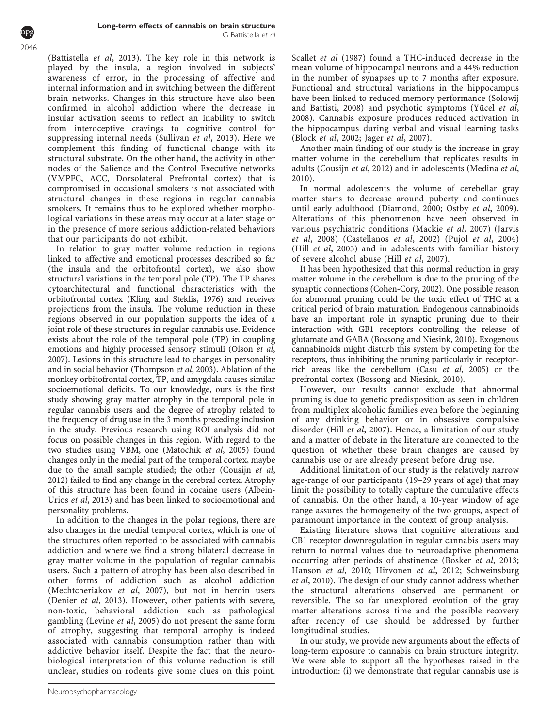([Battistella](#page-6-0) et al, 2013). The key role in this network is played by the insula, a region involved in subjects' awareness of error, in the processing of affective and internal information and in switching between the different brain networks. Changes in this structure have also been confirmed in alcohol addiction where the decrease in insular activation seems to reflect an inability to switch from interoceptive cravings to cognitive control for suppressing internal needs [\(Sullivan](#page-7-0) et al, 2013). Here we complement this finding of functional change with its structural substrate. On the other hand, the activity in other nodes of the Salience and the Control Executive networks (VMPFC, ACC, Dorsolateral Prefrontal cortex) that is compromised in occasional smokers is not associated with structural changes in these regions in regular cannabis smokers. It remains thus to be explored whether morphological variations in these areas may occur at a later stage or in the presence of more serious addiction-related behaviors that our participants do not exhibit.

In relation to gray matter volume reduction in regions linked to affective and emotional processes described so far (the insula and the orbitofrontal cortex), we also show structural variations in the temporal pole (TP). The TP shares cytoarchitectural and functional characteristics with the orbitofrontal cortex [\(Kling and Steklis, 1976](#page-7-0)) and receives projections from the insula. The volume reduction in these regions observed in our population supports the idea of a joint role of these structures in regular cannabis use. Evidence exists about the role of the temporal pole (TP) in coupling emotions and highly processed sensory stimuli ([Olson](#page-7-0) et al, [2007\)](#page-7-0). Lesions in this structure lead to changes in personality and in social behavior [\(Thompson](#page-7-0) et al, 2003). Ablation of the monkey orbitofrontal cortex, TP, and amygdala causes similar socioemotional deficits. To our knowledge, ours is the first study showing gray matter atrophy in the temporal pole in regular cannabis users and the degree of atrophy related to the frequency of drug use in the 3 months preceding inclusion in the study. Previous research using ROI analysis did not focus on possible changes in this region. With regard to the two studies using VBM, one [\(Matochik](#page-7-0) et al, 2005) found changes only in the medial part of the temporal cortex, maybe due to the small sample studied; the other [\(Cousijn](#page-6-0) et al, [2012\)](#page-6-0) failed to find any change in the cerebral cortex. Atrophy of this structure has been found in cocaine users ([Albein-](#page-6-0)Urios et al[, 2013](#page-6-0)) and has been linked to socioemotional and personality problems.

In addition to the changes in the polar regions, there are also changes in the medial temporal cortex, which is one of the structures often reported to be associated with cannabis addiction and where we find a strong bilateral decrease in gray matter volume in the population of regular cannabis users. Such a pattern of atrophy has been also described in other forms of addiction such as alcohol addiction ([Mechtcheriakov](#page-7-0) et al, 2007), but not in heroin users ([Denier](#page-6-0) et al, 2013). However, other patients with severe, non-toxic, behavioral addiction such as pathological gambling [\(Levine](#page-7-0) et al, 2005) do not present the same form of atrophy, suggesting that temporal atrophy is indeed associated with cannabis consumption rather than with addictive behavior itself. Despite the fact that the neurobiological interpretation of this volume reduction is still unclear, studies on rodents give some clues on this point.

[Scallet](#page-7-0) et al (1987) found a THC-induced decrease in the mean volume of hippocampal neurons and a 44% reduction in the number of synapses up to 7 months after exposure. Functional and structural variations in the hippocampus have been linked to reduced memory performance [\(Solowij](#page-7-0) [and Battisti, 2008\)](#page-7-0) and psychotic symptoms (Yücel et al, [2008](#page-7-0)). Cannabis exposure produces reduced activation in the hippocampus during verbal and visual learning tasks (Block et al[, 2002;](#page-6-0) Jager et al[, 2007](#page-7-0)).

Another main finding of our study is the increase in gray matter volume in the cerebellum that replicates results in adults [\(Cousijn](#page-6-0) et al, 2012) and in adolescents ([Medina](#page-7-0) et al, [2010](#page-7-0)).

In normal adolescents the volume of cerebellar gray matter starts to decrease around puberty and continues until early adulthood [\(Diamond, 2000;](#page-6-0) Ostby et al[, 2009](#page-7-0)). Alterations of this phenomenon have been observed in various psychiatric conditions ([Mackie](#page-7-0) et al, 2007) [\(Jarvis](#page-7-0) et al[, 2008](#page-7-0)) ([Castellanos](#page-6-0) et al, 2002) (Pujol et al[, 2004\)](#page-7-0) (Hill et al[, 2003\)](#page-7-0) and in adolescents with familiar history of severe alcohol abuse (Hill et al[, 2007\)](#page-7-0).

It has been hypothesized that this normal reduction in gray matter volume in the cerebellum is due to the pruning of the synaptic connections [\(Cohen-Cory, 2002\)](#page-6-0). One possible reason for abnormal pruning could be the toxic effect of THC at a critical period of brain maturation. Endogenous cannabinoids have an important role in synaptic pruning due to their interaction with GB1 receptors controlling the release of glutamate and GABA [\(Bossong and Niesink, 2010\)](#page-6-0). Exogenous cannabinoids might disturb this system by competing for the receptors, thus inhibiting the pruning particularly in receptorrich areas like the cerebellum (Casu et al[, 2005\)](#page-6-0) or the prefrontal cortex ([Bossong and Niesink, 2010\)](#page-6-0).

However, our results cannot exclude that abnormal pruning is due to genetic predisposition as seen in children from multiplex alcoholic families even before the beginning of any drinking behavior or in obsessive compulsive disorder (Hill et al[, 2007\)](#page-7-0). Hence, a limitation of our study and a matter of debate in the literature are connected to the question of whether these brain changes are caused by cannabis use or are already present before drug use.

Additional limitation of our study is the relatively narrow age-range of our participants (19–29 years of age) that may limit the possibility to totally capture the cumulative effects of cannabis. On the other hand, a 10-year window of age range assures the homogeneity of the two groups, aspect of paramount importance in the context of group analysis.

Existing literature shows that cognitive alterations and CB1 receptor downregulation in regular cannabis users may return to normal values due to neuroadaptive phenomena occurring after periods of abstinence ([Bosker](#page-6-0) et al, 2013; [Hanson](#page-7-0) et al, 2010; [Hirvonen](#page-7-0) et al, 2012; [Schweinsburg](#page-7-0) et al[, 2010\)](#page-7-0). The design of our study cannot address whether the structural alterations observed are permanent or reversible. The so far unexplored evolution of the gray matter alterations across time and the possible recovery after recency of use should be addressed by further longitudinal studies.

In our study, we provide new arguments about the effects of long-term exposure to cannabis on brain structure integrity. We were able to support all the hypotheses raised in the introduction: (i) we demonstrate that regular cannabis use is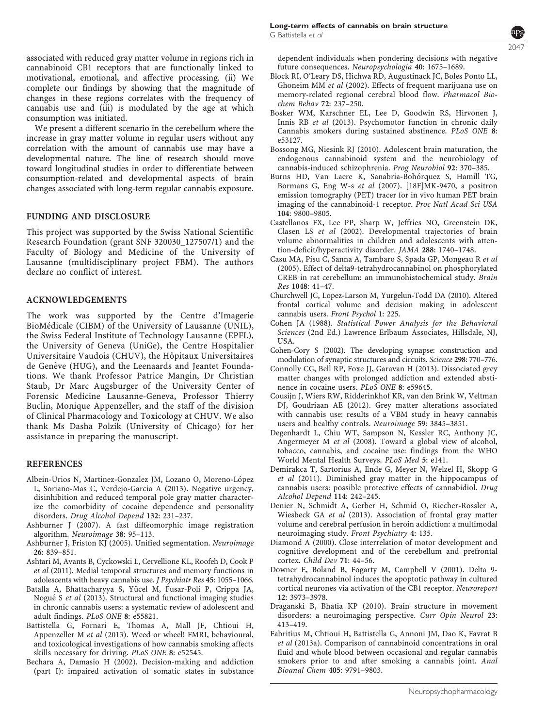<span id="page-6-0"></span>We present a different scenario in the cerebellum where the increase in gray matter volume in regular users without any correlation with the amount of cannabis use may have a developmental nature. The line of research should move toward longitudinal studies in order to differentiate between consumption-related and developmental aspects of brain changes associated with long-term regular cannabis exposure.

## FUNDING AND DISCLOSURE

This project was supported by the Swiss National Scientific Research Foundation (grant SNF 320030\_127507/1) and the Faculty of Biology and Medicine of the University of Lausanne (multidisciplinary project FBM). The authors declare no conflict of interest.

### ACKNOWLEDGEMENTS

The work was supported by the Centre d'Imagerie BioMédicale (CIBM) of the University of Lausanne (UNIL), the Swiss Federal Institute of Technology Lausanne (EPFL), the University of Geneva (UniGe), the Centre Hospitalier Universitaire Vaudois (CHUV), the Hôpitaux Universitaires de Genève (HUG), and the Leenaards and Jeantet Foundations. We thank Professor Patrice Mangin, Dr Christian Staub, Dr Marc Augsburger of the University Center of Forensic Medicine Lausanne-Geneva, Professor Thierry Buclin, Monique Appenzeller, and the staff of the division of Clinical Pharmacology and Toxicology at CHUV. We also thank Ms Dasha Polzik (University of Chicago) for her assistance in preparing the manuscript.

#### REFERENCES

- Albein-Urios N, Martinez-Gonzalez JM, Lozano O, Moreno-López L, Soriano-Mas C, Verdejo-Garcia A (2013). Negative urgency, disinhibition and reduced temporal pole gray matter characterize the comorbidity of cocaine dependence and personality disorders. Drug Alcohol Depend 132: 231–237.
- Ashburner J (2007). A fast diffeomorphic image registration algorithm. Neuroimage 38: 95–113.
- Ashburner J, Friston KJ (2005). Unified segmentation. Neuroimage 26: 839–851.
- Ashtari M, Avants B, Cyckowski L, Cervellione KL, Roofeh D, Cook P et al (2011). Medial temporal structures and memory functions in adolescents with heavy cannabis use. J Psychiatr Res 45: 1055–1066.
- Batalla A, Bhattacharyya S, Yücel M, Fusar-Poli P, Crippa JA, Nogué S et al (2013). Structural and functional imaging studies in chronic cannabis users: a systematic review of adolescent and adult findings. PLoS ONE 8: e55821.
- Battistella G, Fornari E, Thomas A, Mall JF, Chtioui H, Appenzeller M et al (2013). Weed or wheel! FMRI, behavioural, and toxicological investigations of how cannabis smoking affects skills necessary for driving. PLoS ONE 8: e52545.
- Bechara A, Damasio H (2002). Decision-making and addiction (part I): impaired activation of somatic states in substance

dependent individuals when pondering decisions with negative future consequences. Neuropsychologia 40: 1675–1689.

- Block RI, O'Leary DS, Hichwa RD, Augustinack JC, Boles Ponto LL, Ghoneim MM et al (2002). Effects of frequent marijuana use on memory-related regional cerebral blood flow. Pharmacol Biochem Behav 72: 237–250.
- Bosker WM, Karschner EL, Lee D, Goodwin RS, Hirvonen J, Innis RB et al (2013). Psychomotor function in chronic daily Cannabis smokers during sustained abstinence. PLoS ONE 8: e53127.
- Bossong MG, Niesink RJ (2010). Adolescent brain maturation, the endogenous cannabinoid system and the neurobiology of cannabis-induced schizophrenia. Prog Neurobiol 92: 370–385.
- Burns HD, Van Laere K, Sanabria-Bohórquez S, Hamill TG, Bormans G, Eng W-s et al (2007). [18F]MK-9470, a positron emission tomography (PET) tracer for in vivo human PET brain imaging of the cannabinoid-1 receptor. Proc Natl Acad Sci USA 104: 9800–9805.
- Castellanos FX, Lee PP, Sharp W, Jeffries NO, Greenstein DK, Clasen LS et al (2002). Developmental trajectories of brain volume abnormalities in children and adolescents with attention-deficit/hyperactivity disorder. JAMA 288: 1740–1748.
- Casu MA, Pisu C, Sanna A, Tambaro S, Spada GP, Mongeau R et al (2005). Effect of delta9-tetrahydrocannabinol on phosphorylated CREB in rat cerebellum: an immunohistochemical study. Brain Res 1048: 41–47.
- Churchwell JC, Lopez-Larson M, Yurgelun-Todd DA (2010). Altered frontal cortical volume and decision making in adolescent cannabis users. Front Psychol 1: 225.
- Cohen JA (1988). Statistical Power Analysis for the Behavioral Sciences (2nd Ed.) Lawrence Erlbaum Associates, Hillsdale, NJ, USA.
- Cohen-Cory S (2002). The developing synapse: construction and modulation of synaptic structures and circuits. Science 298: 770–776.
- Connolly CG, Bell RP, Foxe JJ, Garavan H (2013). Dissociated grey matter changes with prolonged addiction and extended abstinence in cocaine users. PLoS ONE 8: e59645.
- Cousijn J, Wiers RW, Ridderinkhof KR, van den Brink W, Veltman DJ, Goudriaan AE (2012). Grey matter alterations associated with cannabis use: results of a VBM study in heavy cannabis users and healthy controls. Neuroimage 59: 3845–3851.
- Degenhardt L, Chiu WT, Sampson N, Kessler RC, Anthony JC, Angermeyer M et al (2008). Toward a global view of alcohol, tobacco, cannabis, and cocaine use: findings from the WHO World Mental Health Surveys. PLoS Med 5: e141.
- Demirakca T, Sartorius A, Ende G, Meyer N, Welzel H, Skopp G et al (2011). Diminished gray matter in the hippocampus of cannabis users: possible protective effects of cannabidiol. Drug Alcohol Depend 114: 242–245.
- Denier N, Schmidt A, Gerber H, Schmid O, Riecher-Rossler A, Wiesbeck GA et al (2013). Association of frontal gray matter volume and cerebral perfusion in heroin addiction: a multimodal neuroimaging study. Front Psychiatry 4: 135.
- Diamond A (2000). Close interrelation of motor development and cognitive development and of the cerebellum and prefrontal cortex. Child Dev 71: 44–56.
- Downer E, Boland B, Fogarty M, Campbell V (2001). Delta 9 tetrahydrocannabinol induces the apoptotic pathway in cultured cortical neurones via activation of the CB1 receptor. Neuroreport 12: 3973–3978.
- Draganski B, Bhatia KP (2010). Brain structure in movement disorders: a neuroimaging perspective. Curr Opin Neurol 23: 413–419.
- Fabritius M, Chtioui H, Battistella G, Annoni JM, Dao K, Favrat B et al (2013a). Comparison of cannabinoid concentrations in oral fluid and whole blood between occasional and regular cannabis smokers prior to and after smoking a cannabis joint. Anal Bioanal Chem 405: 9791–9803.